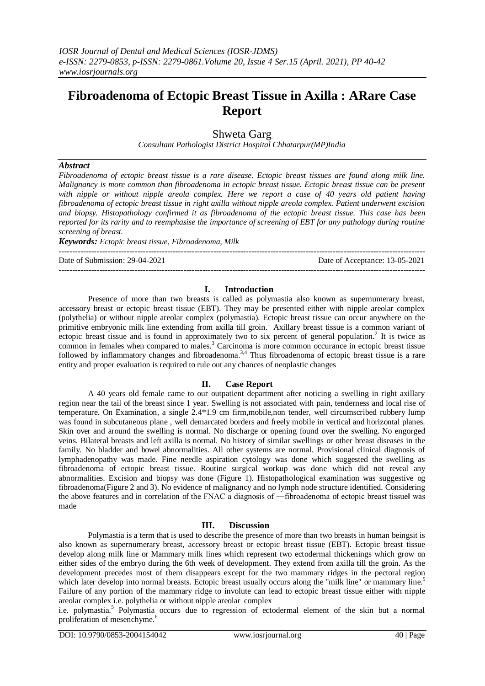# **Fibroadenoma of Ectopic Breast Tissue in Axilla : ARare Case Report**

Shweta Garg

*Consultant Pathologist District Hospital Chhatarpur(MP)India*

#### *Abstract*

*Fibroadenoma of ectopic breast tissue is a rare disease. Ectopic breast tissues are found along milk line. Malignancy is more common than fibroadenoma in ectopic breast tissue. Ectopic breast tissue can be present with nipple or without nipple areola complex. Here we report a case of 40 years old patient having fibroadenoma of ectopic breast tissue in right axilla without nipple areola complex. Patient underwent excision and biopsy. Histopathology confirmed it as fibroadenoma of the ectopic breast tissue. This case has been reported for its rarity and to reemphasise the importance of screening of EBT for any pathology during routine screening of breast.*

*Keywords: Ectopic breast tissue, Fibroadenoma, Milk* 

---------------------------------------------------------------------------------------------------------------------------------------

Date of Submission: 29-04-2021 Date of Acceptance: 13-05-2021

#### **I. Introduction**

---------------------------------------------------------------------------------------------------------------------------------------

Presence of more than two breasts is called as polymastia also known as supernumerary breast, accessory breast or ectopic breast tissue (EBT). They may be presented either with nipple areolar complex (polythelia) or without nipple areolar complex (polymastia). Ectopic breast tissue can occur anywhere on the primitive embryonic milk line extending from axilla till groin.<sup>1</sup> Axillary breast tissue is a common variant of ectopic breast tissue and is found in approximately two to six percent of general population.<sup>2</sup> It is twice as common in females when compared to males.<sup>3</sup> Carcinoma is more common occurance in ectopic breast tissue followed by inflammatory changes and fibroadenoma.<sup>3,4</sup> Thus fibroadenoma of ectopic breast tissue is a rare entity and proper evaluation is required to rule out any chances of neoplastic changes

### **II. Case Report**

A 40 years old female came to our outpatient department after noticing a swelling in right axillary region near the tail of the breast since 1 year. Swelling is not associated with pain, tenderness and local rise of temperature. On Examination, a single 2.4\*1.9 cm firm,mobile,non tender, well circumscribed rubbery lump was found in subcutaneous plane , well demarcated borders and freely mobile in vertical and horizontal planes. Skin over and around the swelling is normal. No discharge or opening found over the swelling. No engorged veins. Bilateral breasts and left axilla is normal. No history of similar swellings or other breast diseases in the family. No bladder and bowel abnormalities. All other systems are normal. Provisional clinical diagnosis of lymphadenopathy was made. Fine needle aspiration cytology was done which suggested the swelling as fibroadenoma of ectopic breast tissue. Routine surgical workup was done which did not reveal any abnormalities. Excision and biopsy was done (Figure 1). Histopathological examination was suggestive og fibroadenoma(Figure 2 and 3). No evidence of malignancy and no lymph node structure identified. Considering the above features and in correlation of the FNAC a diagnosis of ―fibroadenoma of ectopic breast tissue‖ was made

#### **III. Discussion**

Polymastia is a term that is used to describe the presence of more than two breasts in human beingsit is also known as supernumerary breast, accessory breast or ectopic breast tissue (EBT). Ectopic breast tissue develop along milk line or Mammary milk lines which represent two ectodermal thickenings which grow on either sides of the embryo during the 6th week of development. They extend from axilla till the groin. As the development precedes most of them disappears except for the two mammary ridges in the pectoral region which later develop into normal breasts. Ectopic breast usually occurs along the "milk line" or mammary line.<sup>5</sup> Failure of any portion of the mammary ridge to involute can lead to ectopic breast tissue either with nipple areolar complex i.e. polythelia or without nipple areolar complex

i.e. polymastia.<sup>5</sup> Polymastia occurs due to regression of ectodermal element of the skin but a normal proliferation of mesenchyme.<sup>6</sup>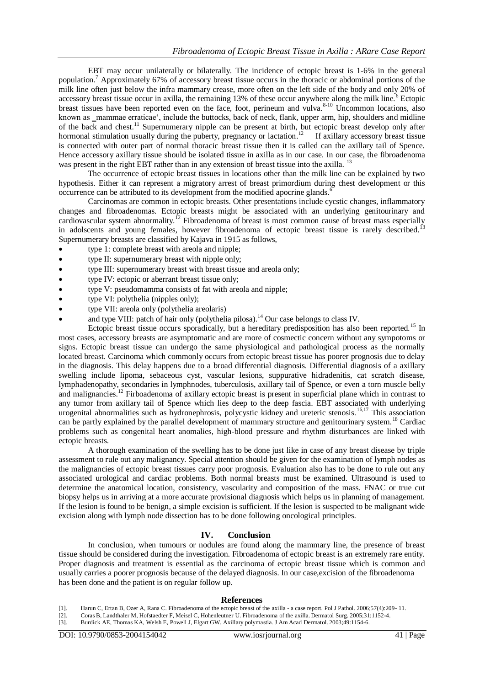EBT may occur unilaterally or bilaterally. The incidence of ectopic breast is 1-6% in the general population.<sup>7</sup> Approximately 67% of accessory breast tissue occurs in the thoracic or abdominal portions of the milk line often just below the infra mammary crease, more often on the left side of the body and only 20% of accessory breast tissue occur in axilla, the remaining  $13%$  of these occur anywhere along the milk line.<sup>6</sup> Ectopic breast tissues have been reported even on the face, foot, perineum and vulva.<sup>8-10</sup> Uncommon locations, also known as \_mammae erraticae', include the buttocks, back of neck, flank, upper arm, hip, shoulders and midline of the back and chest.<sup>11</sup> Supernumerary nipple can be present at birth, but ectopic breast develop only after hormonal stimulation usually during the puberty, pregnancy or lactation.<sup>12</sup> If axillary accessory breast tissue is connected with outer part of normal thoracic breast tissue then it is called can the axillary tail of Spence. Hence accessory axillary tissue should be isolated tissue in axilla as in our case. In our case, the fibroadenoma was present in the right EBT rather than in any extension of breast tissue into the axilla.<sup>13</sup>

The occurrence of ectopic breast tissues in locations other than the milk line can be explained by two hypothesis. Either it can represent a migratory arrest of breast primordium during chest development or this occurrence can be attributed to its development from the modified apocrine glands.<sup>6</sup>

Carcinomas are common in ectopic breasts. Other presentations include cycstic changes, inflammatory changes and fibroadenomas. Ectopic breasts might be associated with an underlying genitourinary and cardiovascular system abnormality.<sup>12</sup> Fibroadenoma of breast is most common cause of breast mass especially in adolscents and young females, however fibroadenoma of ectopic breast tissue is rarely described.<sup>13</sup> Supernumerary breasts are classified by Kajava in 1915 as follows,

- type 1: complete breast with areola and nipple;
- type II: supernumerary breast with nipple only;
- type III: supernumerary breast with breast tissue and areola only;
- type IV: ectopic or aberrant breast tissue only;
- type V: pseudomamma consists of fat with areola and nipple;
- type VI: polythelia (nipples only);
- type VII: areola only (polythelia areolaris)
- and type VIII: patch of hair only (polythelia pilosa).<sup>14</sup> Our case belongs to class IV.

Ectopic breast tissue occurs sporadically, but a hereditary predisposition has also been reported.<sup>15</sup> In most cases, accessory breasts are asymptomatic and are more of cosmectic concern without any sympotoms or signs. Ectopic breast tissue can undergo the same physiological and pathological process as the normally located breast. Carcinoma which commonly occurs from ectopic breast tissue has poorer prognosis due to delay in the diagnosis. This delay happens due to a broad differential diagnosis. Differential diagnosis of a axillary swelling include lipoma, sebaceous cyst, vascular lesions, suppurative hidradenitis, cat scratch disease, lymphadenopathy, secondaries in lymphnodes, tuberculosis, axillary tail of Spence, or even a torn muscle belly and malignancies.<sup>12</sup> Firboadenoma of axillary ectopic breast is present in superficial plane which in contrast to any tumor from axillary tail of Spence which lies deep to the deep fascia. EBT associated with underlying urogenital abnormalities such as hydronephrosis, polycystic kidney and ureteric stenosis.<sup>16,17</sup> This association can be partly explained by the parallel development of mammary structure and genitourinary system.<sup>18</sup> Cardiac problems such as congenital heart anomalies, high-blood pressure and rhythm disturbances are linked with ectopic breasts.

A thorough examination of the swelling has to be done just like in case of any breast disease by triple assessment to rule out any malignancy. Special attention should be given for the examination of lymph nodes as the malignancies of ectopic breast tissues carry poor prognosis. Evaluation also has to be done to rule out any associated urological and cardiac problems. Both normal breasts must be examined. Ultrasound is used to determine the anatomical location, consistency, vascularity and composition of the mass. FNAC or true cut biopsy helps us in arriving at a more accurate provisional diagnosis which helps us in planning of management. If the lesion is found to be benign, a simple excision is sufficient. If the lesion is suspected to be malignant wide excision along with lymph node dissection has to be done following oncological principles.

## **IV. Conclusion**

In conclusion, when tumours or nodules are found along the mammary line, the presence of breast tissue should be considered during the investigation. Fibroadenoma of ectopic breast is an extremely rare entity. Proper diagnosis and treatment is essential as the carcinoma of ectopic breast tissue which is common and usually carries a poorer prognosis because of the delayed diagnosis. In our case,excision of the fibroadenoma has been done and the patient is on regular follow up.

#### **References**

- [1]. Harun C, Ertan B, Ozer A, Rana C. Fibroadenoma of the ectopic breast of the axilla a case report. Pol J Pathol. 2006;57(4):209- 11.
- [2]. CorasB, Landthaler M, Hofstaedter F, Meisel C, Hohenleutner U. Fibroadenoma of the axilla. Dermatol Surg. 2005;31:1152-4.
- [3]. Burdick AE, Thomas KA, Welsh E, Powell J, Elgart GW. Axillary polymastia. J Am Acad Dermatol. 2003;49:1154-6.